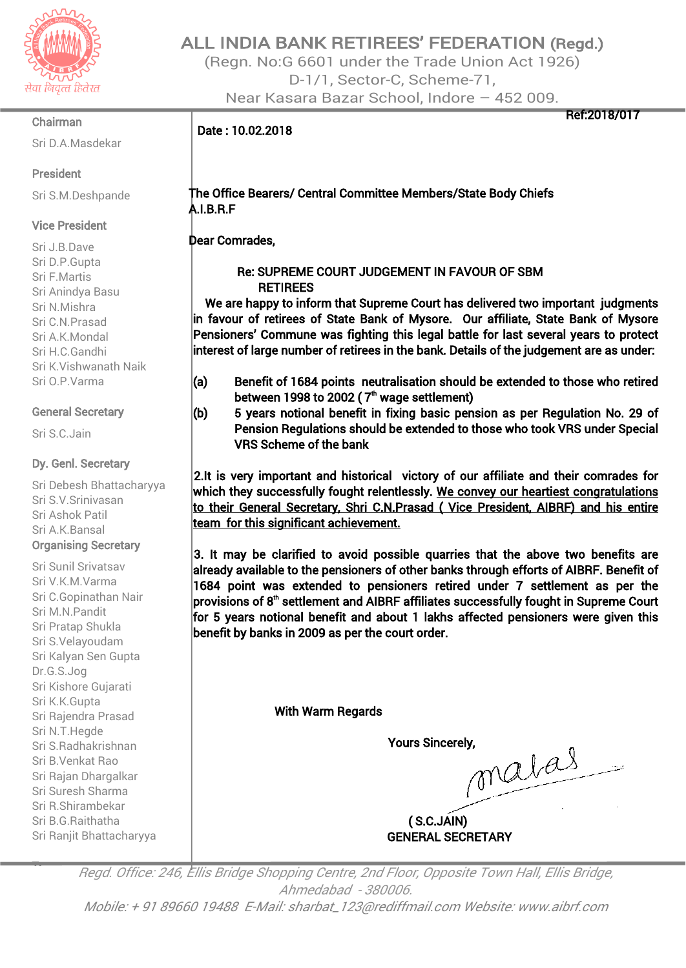

#### Chairman

Sri D.A.Masdekar

### President

Sri S.M.Deshpande

## Vice President

Sri J.B.Dave Sri D.P.Gupta Sri F.Martis Sri Anindya Basu Sri N.Mishra Sri C.N.Prasad Sri A.K.Mondal Sri H.C.Gandhi Sri K.Vishwanath Naik Sri O.P.Varma

## General Secretary

Sri S.C.Jain

## Dy. Genl. Secretary

Sri Debesh Bhattacharyya Sri S.V.Srinivasan Sri Ashok Patil Sri A.K.Bansal Organising Secretary

Sri Sunil Srivatsav Sri V.K.M.Varma Sri C.Gopinathan Nair Sri M.N.Pandit Sri Pratap Shukla Sri S.Velayoudam Sri Kalyan Sen Gupta Dr.G.S.Jog Sri Kishore Gujarati Sri K.K.Gupta Sri Rajendra Prasad Sri N.T.Hegde Sri S.Radhakrishnan Sri B.Venkat Rao Sri Rajan Dhargalkar Sri Suresh Sharma Sri R.Shirambekar Sri B.G.Raithatha Sri Ranjit Bhattacharyya

# ALL INDIA BANK RETIREES' FEDERATION (Regd.)

(Regn. No:G 6601 under the Trade Union Act 1926) D-1/1, Sector-C, Scheme-71, Near Kasara Bazar School, Indore – 452 009.

Ref:2018/017

## Date : 10.02.2018

## The Office Bearers/ Central Committee Members/State Body Chiefs A.I.B.R.F

Dear Comrades,

## Re: SUPREME COURT JUDGEMENT IN FAVOUR OF SBM **RETIREES**

We are happy to inform that Supreme Court has delivered two important judgments in favour of retirees of State Bank of Mysore. Our affiliate, State Bank of Mysore Pensioners' Commune was fighting this legal battle for last several years to protect interest of large number of retirees in the bank. Details of the judgement are as under:

- (a) Benefit of 1684 points neutralisation should be extended to those who retired between 1998 to 2002 (  $7^{\textrm{\tiny th}}$  wage settlement)
- (b) 5 years notional benefit in fixing basic pension as per Regulation No. 29 of Pension Regulations should be extended to those who took VRS under Special VRS Scheme of the bank

2.It is very important and historical victory of our affiliate and their comrades for which they successfully fought relentlessly. We convey our heartiest congratulations to their General Secretary, Shri C.N.Prasad ( Vice President, AIBRF) and his entire team for this significant achievement.

3. It may be clarified to avoid possible quarries that the above two benefits are already available to the pensioners of other banks through efforts of AIBRF. Benefit of 1684 point was extended to pensioners retired under 7 settlement as per the provisions of  $8<sup>th</sup>$  settlement and AIBRF affiliates successfully fought in Supreme Court for 5 years notional benefit and about 1 lakhs affected pensioners were given this benefit by banks in 2009 as per the court order.

With Warm Regards

Yours Sincerely,<br> *Malas* 

( S.C.JAIN) GENERAL SECRETARY

Treasurer Regd. Office: 246, Ellis Bridge Shopping Centre, 2nd Floor, Opposite Town Hall, Ellis Bridge, Ahmedabad - 380006. Mobile: <sup>+</sup> 91 89660 19488 E-Mail: sharbat\_123@rediffmail.com Website: www.aibrf.com